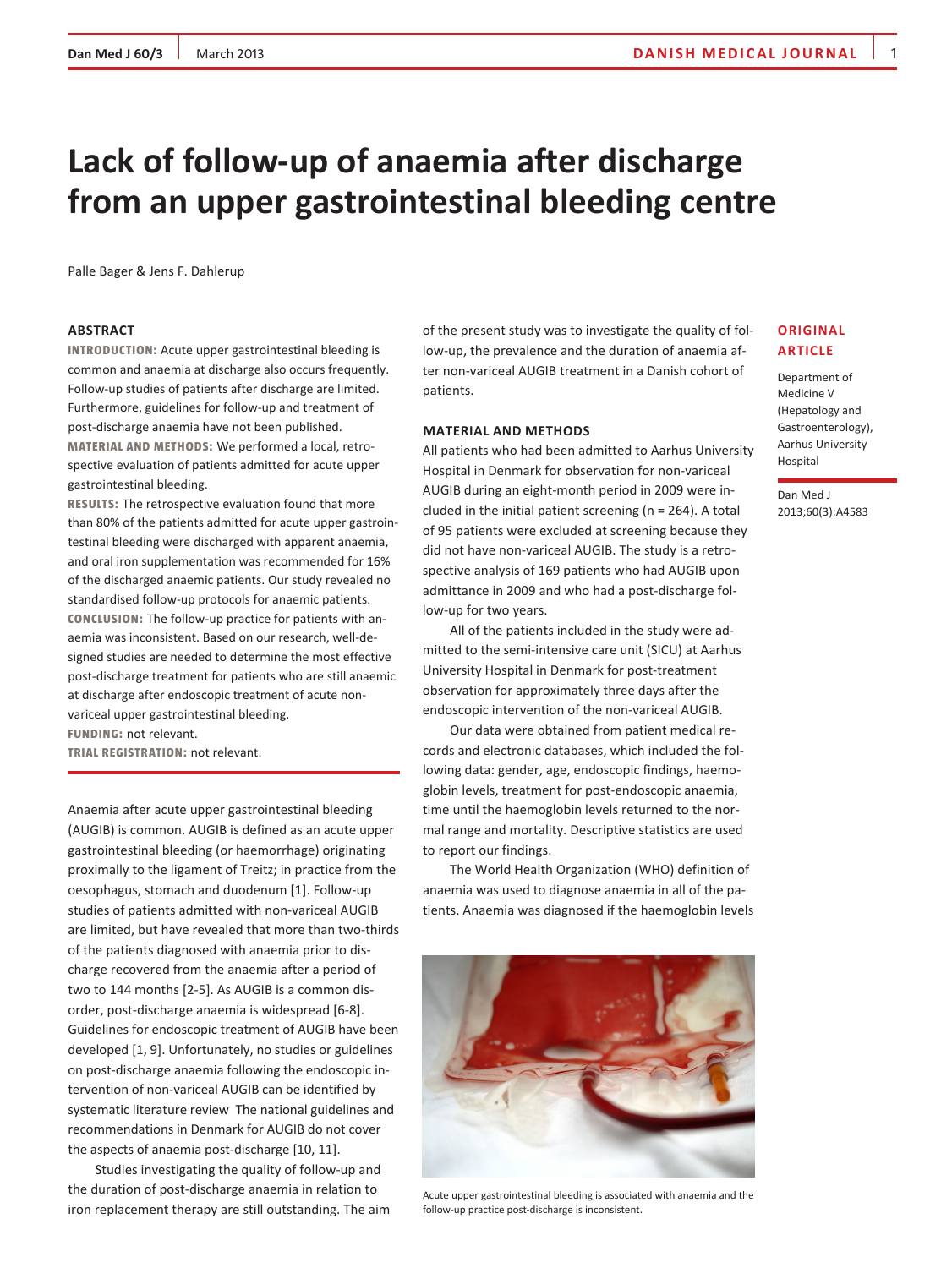## **Dan Med J 60/3** March 2013 **danish media JOURNAL** 1

# **Lack of follow-up of anaemia after discharge from an upper gastrointestinal bleeding centre**

Palle Bager & Jens F. Dahlerup

#### **ABSTRACT**

**INTRODUCTION:** Acute upper gastrointestinal bleeding is common and anaemia at discharge also occurs frequently. Follow-up studies of patients after discharge are limited. Furthermore, guidelines for follow-up and treatment of post-discharge anaemia have not been published. **MATERIAL AND METHODS:** We performed a local, retrospective evaluation of patients admitted for acute upper gastrointestinal bleeding.

**RESULTS:** The retrospective evaluation found that more than 80% of the patients admitted for acute upper gastrointestinal bleeding were discharged with apparent anaemia, and oral iron supplementation was recommended for 16% of the discharged anaemic patients. Our study revealed no standardised follow-up protocols for anaemic patients. **CONCLUSION:** The follow-up practice for patients with anaemia was inconsistent. Based on our research, well-designed studies are needed to determine the most effective post-discharge treatment for patients who are still anaemic at discharge after endoscopic treatment of acute nonvariceal upper gastrointestinal bleeding. **FUNDING:** not relevant.

**TRIAL REGISTRATION:** not relevant.

Anaemia after acute upper gastrointestinal bleeding (AUGIB) is common. AUGIB is defined as an acute upper gastrointestinal bleeding (or haemorrhage) originating proximally to the ligament of Treitz; in practice from the oesophagus, stomach and duodenum [1]. Follow-up studies of patients admitted with non-variceal AUGIB are limited, but have revealed that more than two-thirds of the patients diagnosed with anaemia prior to discharge recovered from the anaemia after a period of two to 144 months [2-5]. As AUGIB is a common disorder, post-discharge anaemia is widespread [6-8]. Guidelines for endoscopic treatment of AUGIB have been developed [1, 9]. Unfortunately, no studies or guidelines on post-discharge anaemia following the endoscopic intervention of non-variceal AUGIB can be identified by systematic literature review The national guidelines and recommendations in Denmark for AUGIB do not cover the aspects of anaemia post-discharge [10, 11].

Studies investigating the quality of follow-up and the duration of post-discharge anaemia in relation to iron replacement therapy are still outstanding. The aim of the present study was to investigate the quality of follow-up, the prevalence and the duration of anaemia after non-variceal AUGIB treatment in a Danish cohort of patients.

#### **MATERIAL AND METHODS**

All patients who had been admitted to Aarhus University Hospital in Denmark for observation for non-variceal AUGIB during an eight-month period in 2009 were included in the initial patient screening ( $n = 264$ ). A total of 95 patients were excluded at screening because they did not have non-variceal AUGIB. The study is a retrospective analysis of 169 patients who had AUGIB upon admittance in 2009 and who had a post-discharge follow-up for two years.

All of the patients included in the study were admitted to the semi-intensive care unit (SICU) at Aarhus University Hospital in Denmark for post-treatment observation for approximately three days after the endoscopic intervention of the non-variceal AUGIB.

Our data were obtained from patient medical records and electronic databases, which included the following data: gender, age, endoscopic findings, haemoglobin levels, treatment for post-endoscopic anaemia, time until the haemoglobin levels returned to the normal range and mortality. Descriptive statistics are used to report our findings.

The World Health Organization (WHO) definition of anaemia was used to diagnose anaemia in all of the patients. Anaemia was diagnosed if the haemoglobin levels



Acute upper gastrointestinal bleeding is associated with anaemia and the follow-up practice post-discharge is inconsistent.

## **Original article**

Department of Medicine V (Hepatology and Gastroenterology), Aarhus University Hospital

Dan Med J 2013;60(3):A4583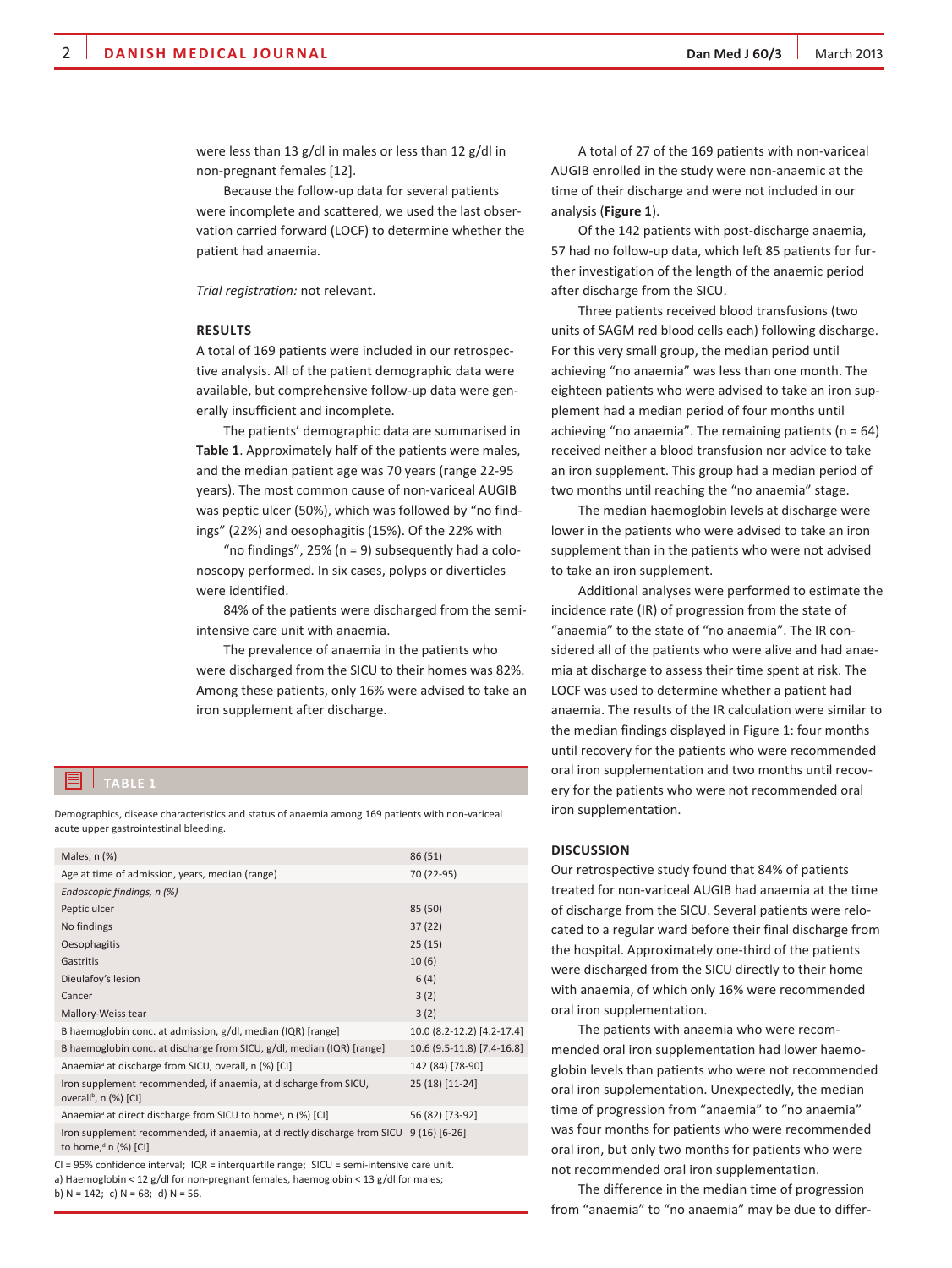were less than 13 g/dl in males or less than 12 g/dl in non-pregnant females [12].

Because the follow-up data for several patients were incomplete and scattered, we used the last observation carried forward (LOCF) to determine whether the patient had anaemia.

*Trial registration:* not relevant.

#### **RESULTS**

A total of 169 patients were included in our retrospective analysis. All of the patient demographic data were available, but comprehensive follow-up data were generally insufficient and incomplete.

The patients' demographic data are summarised in **Table 1**. Approximately half of the patients were males, and the median patient age was 70 years (range 22-95 years). The most common cause of non-variceal AUGIB was peptic ulcer (50%), which was followed by "no findings" (22%) and oesophagitis (15%). Of the 22% with

"no findings",  $25\%$  (n = 9) subsequently had a colonoscopy performed. In six cases, polyps or diverticles were identified.

84% of the patients were discharged from the semiintensive care unit with anaemia.

The prevalence of anaemia in the patients who were discharged from the SICU to their homes was 82%. Among these patients, only 16% were advised to take an iron supplement after discharge.

Demographics, disease characteristics and status of anaemia among 169 patients with non-variceal acute upper gastrointestinal bleeding.

| Males, n (%)                                                                                          | 86 (51)                    |
|-------------------------------------------------------------------------------------------------------|----------------------------|
| Age at time of admission, years, median (range)                                                       | 70 (22-95)                 |
| Endoscopic findings, n (%)                                                                            |                            |
| Peptic ulcer                                                                                          | 85 (50)                    |
| No findings                                                                                           | 37(22)                     |
| Oesophagitis                                                                                          | 25(15)                     |
| Gastritis                                                                                             | 10(6)                      |
| Dieulafoy's lesion                                                                                    | 6(4)                       |
| Cancer                                                                                                | 3(2)                       |
| Mallory-Weiss tear                                                                                    | 3(2)                       |
| B haemoglobin conc. at admission, g/dl, median (IQR) [range]                                          | 10.0 (8.2-12.2) [4.2-17.4] |
| B haemoglobin conc. at discharge from SICU, g/dl, median (IQR) [range]                                | 10.6 (9.5-11.8) [7.4-16.8] |
| Anaemia <sup>ª</sup> at discharge from SICU, overall, n (%) [CI]                                      | 142 (84) [78-90]           |
| Iron supplement recommended, if anaemia, at discharge from SICU,<br>overall <sup>b</sup> , n (%) [CI] | 25 (18) [11-24]            |
| Anaemia <sup>ª</sup> at direct discharge from SICU to home <sup>c</sup> , n (%) [CI]                  | 56 (82) [73-92]            |
| Iron supplement recommended, if anaemia, at directly discharge from SICU<br>to home, $d$ n (%) [CI]   | $9(16)[6-26]$              |
| $CI = 95%$ confidence interval; $IQR =$ interquartile range; $SICU =$ semi-intensive care unit.       |                            |

a) Haemoglobin < 12 g/dl for non-pregnant females, haemoglobin < 13 g/dl for males; b)  $N = 142$ ; c)  $N = 68$ ; d)  $N = 56$ .

A total of 27 of the 169 patients with non-variceal AUGIB enrolled in the study were non-anaemic at the time of their discharge and were not included in our analysis (**Figure 1**).

Of the 142 patients with post-discharge anaemia, 57 had no follow-up data, which left 85 patients for further investigation of the length of the anaemic period after discharge from the SICU.

Three patients received blood transfusions (two units of SAGM red blood cells each) following discharge. For this very small group, the median period until achieving "no anaemia" was less than one month. The eighteen patients who were advised to take an iron supplement had a median period of four months until achieving "no anaemia". The remaining patients ( $n = 64$ ) received neither a blood transfusion nor advice to take an iron supplement. This group had a median period of two months until reaching the "no anaemia" stage.

The median haemoglobin levels at discharge were lower in the patients who were advised to take an iron supplement than in the patients who were not advised to take an iron supplement.

Additional analyses were performed to estimate the incidence rate (IR) of progression from the state of "anaemia" to the state of "no anaemia". The IR considered all of the patients who were alive and had anaemia at discharge to assess their time spent at risk. The LOCF was used to determine whether a patient had anaemia. The results of the IR calculation were similar to the median findings displayed in Figure 1: four months until recovery for the patients who were recommended oral iron supplementation and two months until recovery for the patients who were not recommended oral iron supplementation.

#### **DISCUSSION**

Our retrospective study found that 84% of patients treated for non-variceal AUGIB had anaemia at the time of discharge from the SICU. Several patients were relocated to a regular ward before their final discharge from the hospital. Approximately one-third of the patients were discharged from the SICU directly to their home with anaemia, of which only 16% were recommended oral iron supplementation.

The patients with anaemia who were recommended oral iron supplementation had lower haemoglobin levels than patients who were not recommended oral iron supplementation. Unexpectedly, the median time of progression from "anaemia" to "no anaemia" was four months for patients who were recommended oral iron, but only two months for patients who were not recommended oral iron supplementation.

The difference in the median time of progression from "anaemia" to "no anaemia" may be due to differ-